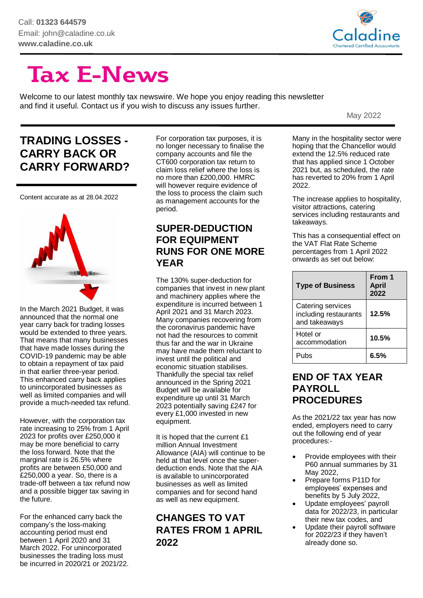

# **Tax E-News**

Welcome to our latest monthly tax newswire. We hope you enjoy reading this newsletter and find it useful. Contact us if you wish to discuss any issues further.

May 2022

## **TRADING LOSSES - CARRY BACK OR CARRY FORWARD?**

Content accurate as at 28.04.2022



In the March 2021 Budget, it was announced that the normal one year carry back for trading losses would be extended to three years. That means that many businesses that have made losses during the COVID-19 pandemic may be able to obtain a repayment of tax paid in that earlier three-year period. This enhanced carry back applies to unincorporated businesses as well as limited companies and will provide a much-needed tax refund.

However, with the corporation tax rate increasing to 25% from 1 April 2023 for profits over £250,000 it may be more beneficial to carry the loss forward. Note that the marginal rate is 26.5% where profits are between £50,000 and £250,000 a year. So, there is a trade-off between a tax refund now and a possible bigger tax saving in the future.

For the enhanced carry back the company's the loss-making accounting period must end between 1 April 2020 and 31 March 2022. For unincorporated businesses the trading loss must be incurred in 2020/21 or 2021/22.

For corporation tax purposes, it is no longer necessary to finalise the company accounts and file the CT600 corporation tax return to claim loss relief where the loss is no more than £200,000. HMRC will however require evidence of the loss to process the claim such as management accounts for the period.

#### **SUPER-DEDUCTION FOR EQUIPMENT RUNS FOR ONE MORE YEAR**

The 130% super-deduction for companies that invest in new plant and machinery applies where the expenditure is incurred between 1 April 2021 and 31 March 2023. Many companies recovering from the coronavirus pandemic have not had the resources to commit thus far and the war in Ukraine may have made them reluctant to invest until the political and economic situation stabilises. Thankfully the special tax relief announced in the Spring 2021 Budget will be available for expenditure up until 31 March 2023 potentially saving £247 for every £1,000 invested in new equipment.

It is hoped that the current £1 million Annual Investment Allowance (AIA) will continue to be held at that level once the superdeduction ends. Note that the AIA is available to unincorporated businesses as well as limited companies and for second hand as well as new equipment.

#### **CHANGES TO VAT RATES FROM 1 APRIL 2022**

Many in the hospitality sector were hoping that the Chancellor would extend the 12.5% reduced rate that has applied since 1 October 2021 but, as scheduled, the rate has reverted to 20% from 1 April 2022.

The increase applies to hospitality, visitor attractions, catering services including restaurants and takeaways.

This has a consequential effect on the VAT Flat Rate Scheme percentages from 1 April 2022 onwards as set out below:

| <b>Type of Business</b>                                     | From 1<br><b>April</b><br>2022 |
|-------------------------------------------------------------|--------------------------------|
| Catering services<br>including restaurants<br>and takeaways | 12.5%                          |
| Hotel or<br>accommodation                                   | 10.5%                          |
| Puhs                                                        | 6.5%                           |

#### **END OF TAX YEAR PAYROLL PROCEDURES**

As the 2021/22 tax year has now ended, employers need to carry out the following end of year procedures:-

- Provide employees with their P60 annual summaries by 31 May 2022,
- Prepare forms P11D for employees' expenses and benefits by 5 July 2022,
- Update employees' payroll data for 2022/23, in particular their new tax codes, and
- Update their payroll software for 2022/23 if they haven't already done so.